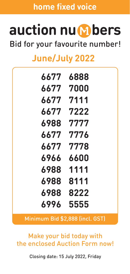**home fixed voice**

## auction nu **M** bers

Bid for your favourite number!

## **June/July 2022**

| 6888         |
|--------------|
| 6677 7000    |
| 6677 7111    |
| 7222         |
| 7777<br>6988 |
| 6677 7776    |
| 6677 7778    |
| 6966 6600    |
| 6988 1111    |
| 6988<br>8111 |
| 6988<br>8222 |
| 6996<br>5555 |
|              |

Minimum Bid \$2,888 (incl. GST)

Make your bid today with the enclosed Auction Form now!

Closing date: 15 July 2022, Friday